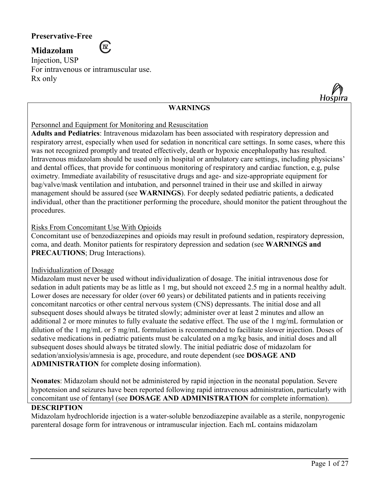# **Preservative-Free**

**Midazolam** 



Injection, USP For intravenous or intramuscular use. Rx only



#### **WARNINGS**

Personnel and Equipment for Monitoring and Resuscitation

**Adults and Pediatrics**: Intravenous midazolam has been associated with respiratory depression and respiratory arrest, especially when used for sedation in noncritical care settings. In some cases, where this was not recognized promptly and treated effectively, death or hypoxic encephalopathy has resulted. Intravenous midazolam should be used only in hospital or ambulatory care settings, including physicians' and dental offices, that provide for continuous monitoring of respiratory and cardiac function, e.g, pulse oximetry. Immediate availability of resuscitative drugs and age- and size-appropriate equipment for bag/valve/mask ventilation and intubation, and personnel trained in their use and skilled in airway management should be assured (see **WARNINGS**). For deeply sedated pediatric patients, a dedicated individual, other than the practitioner performing the procedure, should monitor the patient throughout the procedures.

#### Risks From Concomitant Use With Opioids

Concomitant use of benzodiazepines and opioids may result in profound sedation, respiratory depression, coma, and death. Monitor patients for respiratory depression and sedation (see **WARNINGS and PRECAUTIONS**; Drug Interactions).

#### Individualization of Dosage

Midazolam must never be used without individualization of dosage. The initial intravenous dose for sedation in adult patients may be as little as 1 mg, but should not exceed 2.5 mg in a normal healthy adult. Lower doses are necessary for older (over 60 years) or debilitated patients and in patients receiving concomitant narcotics or other central nervous system (CNS) depressants. The initial dose and all subsequent doses should always be titrated slowly; administer over at least 2 minutes and allow an additional 2 or more minutes to fully evaluate the sedative effect. The use of the 1 mg/mL formulation or dilution of the 1 mg/mL or 5 mg/mL formulation is recommended to facilitate slower injection. Doses of sedative medications in pediatric patients must be calculated on a mg/kg basis, and initial doses and all subsequent doses should always be titrated slowly. The initial pediatric dose of midazolam for sedation/anxiolysis/amnesia is age, procedure, and route dependent (see **DOSAGE AND ADMINISTRATION** for complete dosing information).

**Neonates**: Midazolam should not be administered by rapid injection in the neonatal population. Severe hypotension and seizures have been reported following rapid intravenous administration, particularly with concomitant use of fentanyl (see **DOSAGE AND ADMINISTRATION** for complete information).

#### **DESCRIPTION**

Midazolam hydrochloride injection is a water-soluble benzodiazepine available as a sterile, nonpyrogenic parenteral dosage form for intravenous or intramuscular injection. Each mL contains midazolam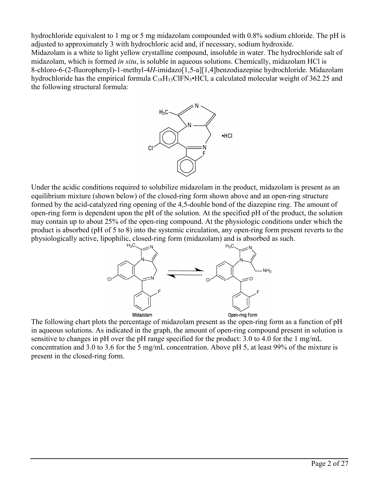hydrochloride equivalent to 1 mg or 5 mg midazolam compounded with 0.8% sodium chloride. The pH is adjusted to approximately 3 with hydrochloric acid and, if necessary, sodium hydroxide. Midazolam is a white to light yellow crystalline compound, insoluble in water. The hydrochloride salt of midazolam, which is formed *in situ*, is soluble in aqueous solutions. Chemically, midazolam HCl is 8-chloro-6-(2-fluorophenyl)-1-methyl-4*H*-imidazo[1,5-a][1,4]benzodiazepine hydrochloride. Midazolam hydrochloride has the empirical formula  $C_{18}H_{13}CIFN_3 \cdot HCl$ , a calculated molecular weight of 362.25 and the following structural formula:



Under the acidic conditions required to solubilize midazolam in the product, midazolam is present as an equilibrium mixture (shown below) of the closed-ring form shown above and an open-ring structure formed by the acid-catalyzed ring opening of the 4,5-double bond of the diazepine ring. The amount of open-ring form is dependent upon the pH of the solution. At the specified pH of the product, the solution may contain up to about 25% of the open-ring compound. At the physiologic conditions under which the product is absorbed (pH of 5 to 8) into the systemic circulation, any open-ring form present reverts to the physiologically active, lipophilic, closed-ring form (midazolam) and is absorbed as such.<br> $H_3C$ 



The following chart plots the percentage of midazolam present as the open-ring form as a function of pH in aqueous solutions. As indicated in the graph, the amount of open-ring compound present in solution is sensitive to changes in pH over the pH range specified for the product: 3.0 to 4.0 for the 1 mg/mL concentration and 3.0 to 3.6 for the 5 mg/mL concentration. Above pH 5, at least 99% of the mixture is present in the closed-ring form.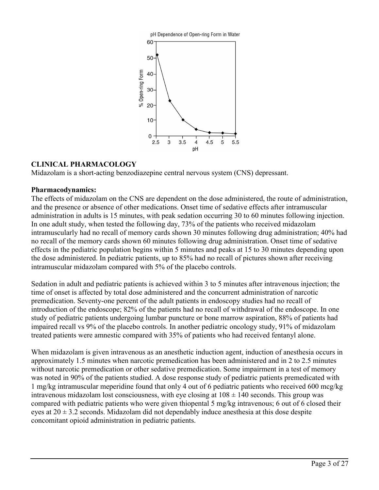

# **CLINICAL PHARMACOLOGY**

Midazolam is a short-acting benzodiazepine central nervous system (CNS) depressant.

## **Pharmacodynamics:**

The effects of midazolam on the CNS are dependent on the dose administered, the route of administration, and the presence or absence of other medications. Onset time of sedative effects after intramuscular administration in adults is 15 minutes, with peak sedation occurring 30 to 60 minutes following injection. In one adult study, when tested the following day, 73% of the patients who received midazolam intramuscularly had no recall of memory cards shown 30 minutes following drug administration; 40% had no recall of the memory cards shown 60 minutes following drug administration. Onset time of sedative effects in the pediatric population begins within 5 minutes and peaks at 15 to 30 minutes depending upon the dose administered. In pediatric patients, up to 85% had no recall of pictures shown after receiving intramuscular midazolam compared with 5% of the placebo controls.

Sedation in adult and pediatric patients is achieved within 3 to 5 minutes after intravenous injection; the time of onset is affected by total dose administered and the concurrent administration of narcotic premedication. Seventy-one percent of the adult patients in endoscopy studies had no recall of introduction of the endoscope; 82% of the patients had no recall of withdrawal of the endoscope. In one study of pediatric patients undergoing lumbar puncture or bone marrow aspiration, 88% of patients had impaired recall vs 9% of the placebo controls. In another pediatric oncology study, 91% of midazolam treated patients were amnestic compared with 35% of patients who had received fentanyl alone.

When midazolam is given intravenous as an anesthetic induction agent, induction of anesthesia occurs in approximately 1.5 minutes when narcotic premedication has been administered and in 2 to 2.5 minutes without narcotic premedication or other sedative premedication. Some impairment in a test of memory was noted in 90% of the patients studied. A dose response study of pediatric patients premedicated with 1 mg/kg intramuscular meperidine found that only 4 out of 6 pediatric patients who received 600 mcg/kg intravenous midazolam lost consciousness, with eye closing at  $108 \pm 140$  seconds. This group was compared with pediatric patients who were given thiopental 5 mg/kg intravenous; 6 out of 6 closed their eyes at  $20 \pm 3.2$  seconds. Midazolam did not dependably induce anesthesia at this dose despite concomitant opioid administration in pediatric patients.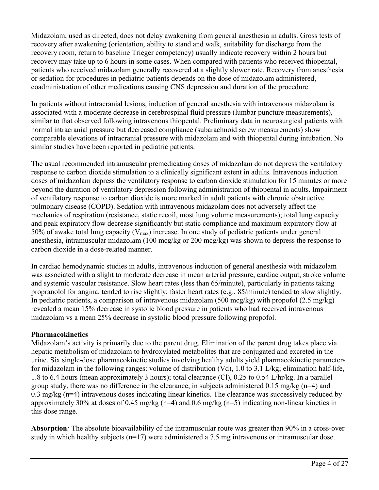Midazolam, used as directed, does not delay awakening from general anesthesia in adults. Gross tests of recovery after awakening (orientation, ability to stand and walk, suitability for discharge from the recovery room, return to baseline Trieger competency) usually indicate recovery within 2 hours but recovery may take up to 6 hours in some cases. When compared with patients who received thiopental, patients who received midazolam generally recovered at a slightly slower rate. Recovery from anesthesia or sedation for procedures in pediatric patients depends on the dose of midazolam administered, coadministration of other medications causing CNS depression and duration of the procedure.

In patients without intracranial lesions, induction of general anesthesia with intravenous midazolam is associated with a moderate decrease in cerebrospinal fluid pressure (lumbar puncture measurements), similar to that observed following intravenous thiopental. Preliminary data in neurosurgical patients with normal intracranial pressure but decreased compliance (subarachnoid screw measurements) show comparable elevations of intracranial pressure with midazolam and with thiopental during intubation. No similar studies have been reported in pediatric patients.

The usual recommended intramuscular premedicating doses of midazolam do not depress the ventilatory response to carbon dioxide stimulation to a clinically significant extent in adults. Intravenous induction doses of midazolam depress the ventilatory response to carbon dioxide stimulation for 15 minutes or more beyond the duration of ventilatory depression following administration of thiopental in adults. Impairment of ventilatory response to carbon dioxide is more marked in adult patients with chronic obstructive pulmonary disease (COPD). Sedation with intravenous midazolam does not adversely affect the mechanics of respiration (resistance, static recoil, most lung volume measurements); total lung capacity and peak expiratory flow decrease significantly but static compliance and maximum expiratory flow at 50% of awake total lung capacity ( $V_{\text{max}}$ ) increase. In one study of pediatric patients under general anesthesia, intramuscular midazolam (100 mcg/kg or 200 mcg/kg) was shown to depress the response to carbon dioxide in a dose-related manner.

In cardiac hemodynamic studies in adults, intravenous induction of general anesthesia with midazolam was associated with a slight to moderate decrease in mean arterial pressure, cardiac output, stroke volume and systemic vascular resistance. Slow heart rates (less than 65/minute), particularly in patients taking propranolol for angina, tended to rise slightly; faster heart rates (e.g., 85/minute) tended to slow slightly. In pediatric patients, a comparison of intravenous midazolam (500 mcg/kg) with propofol (2.5 mg/kg) revealed a mean 15% decrease in systolic blood pressure in patients who had received intravenous midazolam vs a mean 25% decrease in systolic blood pressure following propofol.

# **Pharmacokinetics**

Midazolam's activity is primarily due to the parent drug. Elimination of the parent drug takes place via hepatic metabolism of midazolam to hydroxylated metabolites that are conjugated and excreted in the urine. Six single-dose pharmacokinetic studies involving healthy adults yield pharmacokinetic parameters for midazolam in the following ranges: volume of distribution (Vd), 1.0 to 3.1 L/kg; elimination half-life, 1.8 to 6.4 hours (mean approximately 3 hours); total clearance (Cl), 0.25 to 0.54 L/hr/kg. In a parallel group study, there was no difference in the clearance, in subjects administered 0.15 mg/kg (n=4) and 0.3 mg/kg (n=4) intravenous doses indicating linear kinetics. The clearance was successively reduced by approximately 30% at doses of 0.45 mg/kg (n=4) and 0.6 mg/kg (n=5) indicating non-linear kinetics in this dose range.

**Absorption***:* The absolute bioavailability of the intramuscular route was greater than 90% in a cross-over study in which healthy subjects (n=17) were administered a 7.5 mg intravenous or intramuscular dose.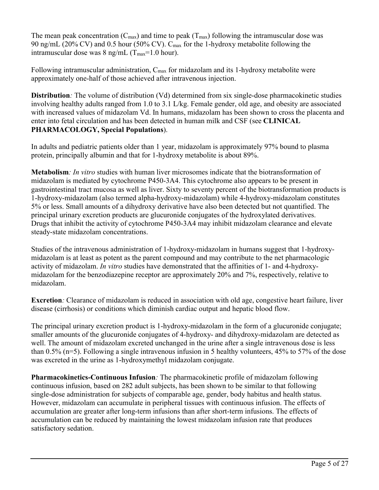The mean peak concentration  $(C_{\text{max}})$  and time to peak  $(T_{\text{max}})$  following the intramuscular dose was 90 ng/mL (20% CV) and 0.5 hour (50% CV).  $C_{\text{max}}$  for the 1-hydroxy metabolite following the intramuscular dose was  $8 \text{ ng/mL}$  (T<sub>max</sub>=1.0 hour).

Following intramuscular administration,  $C_{\text{max}}$  for midazolam and its 1-hydroxy metabolite were approximately one-half of those achieved after intravenous injection.

**Distribution**: The volume of distribution (Vd) determined from six single-dose pharmacokinetic studies involving healthy adults ranged from 1.0 to 3.1 L/kg. Female gender, old age, and obesity are associated with increased values of midazolam Vd. In humans, midazolam has been shown to cross the placenta and enter into fetal circulation and has been detected in human milk and CSF (see **CLINICAL PHARMACOLOGY, Special Populations**).

In adults and pediatric patients older than 1 year, midazolam is approximately 97% bound to plasma protein, principally albumin and that for 1-hydroxy metabolite is about 89%.

**Metabolism***: In vitro* studies with human liver microsomes indicate that the biotransformation of midazolam is mediated by cytochrome P450-3A4. This cytochrome also appears to be present in gastrointestinal tract mucosa as well as liver. Sixty to seventy percent of the biotransformation products is 1-hydroxy-midazolam (also termed alpha-hydroxy-midazolam) while 4-hydroxy-midazolam constitutes 5% or less. Small amounts of a dihydroxy derivative have also been detected but not quantified. The principal urinary excretion products are glucuronide conjugates of the hydroxylated derivatives. Drugs that inhibit the activity of cytochrome P450-3A4 may inhibit midazolam clearance and elevate steady-state midazolam concentrations.

Studies of the intravenous administration of 1-hydroxy-midazolam in humans suggest that 1-hydroxymidazolam is at least as potent as the parent compound and may contribute to the net pharmacologic activity of midazolam. *In vitro* studies have demonstrated that the affinities of 1- and 4-hydroxymidazolam for the benzodiazepine receptor are approximately 20% and 7%, respectively, relative to midazolam.

**Excretion***:* Clearance of midazolam is reduced in association with old age, congestive heart failure, liver disease (cirrhosis) or conditions which diminish cardiac output and hepatic blood flow.

The principal urinary excretion product is 1-hydroxy-midazolam in the form of a glucuronide conjugate; smaller amounts of the glucuronide conjugates of 4-hydroxy- and dihydroxy-midazolam are detected as well. The amount of midazolam excreted unchanged in the urine after a single intravenous dose is less than 0.5% (n=5). Following a single intravenous infusion in 5 healthy volunteers, 45% to 57% of the dose was excreted in the urine as 1-hydroxymethyl midazolam conjugate.

**Pharmacokinetics-Continuous Infusion***:* The pharmacokinetic profile of midazolam following continuous infusion, based on 282 adult subjects, has been shown to be similar to that following single-dose administration for subjects of comparable age, gender, body habitus and health status. However, midazolam can accumulate in peripheral tissues with continuous infusion. The effects of accumulation are greater after long-term infusions than after short-term infusions. The effects of accumulation can be reduced by maintaining the lowest midazolam infusion rate that produces satisfactory sedation.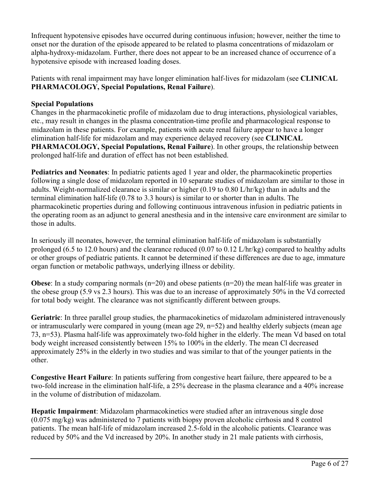Infrequent hypotensive episodes have occurred during continuous infusion; however, neither the time to onset nor the duration of the episode appeared to be related to plasma concentrations of midazolam or alpha-hydroxy-midazolam. Further, there does not appear to be an increased chance of occurrence of a hypotensive episode with increased loading doses.

Patients with renal impairment may have longer elimination half-lives for midazolam (see **CLINICAL PHARMACOLOGY, Special Populations, Renal Failure**).

## **Special Populations**

Changes in the pharmacokinetic profile of midazolam due to drug interactions, physiological variables, etc., may result in changes in the plasma concentration-time profile and pharmacological response to midazolam in these patients. For example, patients with acute renal failure appear to have a longer elimination half-life for midazolam and may experience delayed recovery (see **CLINICAL PHARMACOLOGY, Special Populations, Renal Failure**). In other groups, the relationship between prolonged half-life and duration of effect has not been established.

**Pediatrics and Neonates**: In pediatric patients aged 1 year and older, the pharmacokinetic properties following a single dose of midazolam reported in 10 separate studies of midazolam are similar to those in adults. Weight-normalized clearance is similar or higher (0.19 to 0.80 L/hr/kg) than in adults and the terminal elimination half-life (0.78 to 3.3 hours) is similar to or shorter than in adults. The pharmacokinetic properties during and following continuous intravenous infusion in pediatric patients in the operating room as an adjunct to general anesthesia and in the intensive care environment are similar to those in adults.

In seriously ill neonates, however, the terminal elimination half-life of midazolam is substantially prolonged (6.5 to 12.0 hours) and the clearance reduced (0.07 to 0.12 L/hr/kg) compared to healthy adults or other groups of pediatric patients. It cannot be determined if these differences are due to age, immature organ function or metabolic pathways, underlying illness or debility.

**Obese**: In a study comparing normals (n=20) and obese patients (n=20) the mean half-life was greater in the obese group (5.9 vs 2.3 hours). This was due to an increase of approximately 50% in the Vd corrected for total body weight. The clearance was not significantly different between groups.

**Geriatric**: In three parallel group studies, the pharmacokinetics of midazolam administered intravenously or intramuscularly were compared in young (mean age 29, n=52) and healthy elderly subjects (mean age 73, n=53). Plasma half-life was approximately two-fold higher in the elderly. The mean Vd based on total body weight increased consistently between 15% to 100% in the elderly. The mean Cl decreased approximately 25% in the elderly in two studies and was similar to that of the younger patients in the other.

**Congestive Heart Failure**: In patients suffering from congestive heart failure, there appeared to be a two-fold increase in the elimination half-life, a 25% decrease in the plasma clearance and a 40% increase in the volume of distribution of midazolam.

**Hepatic Impairment**: Midazolam pharmacokinetics were studied after an intravenous single dose (0.075 mg/kg) was administered to 7 patients with biopsy proven alcoholic cirrhosis and 8 control patients. The mean half-life of midazolam increased 2.5-fold in the alcoholic patients. Clearance was reduced by 50% and the Vd increased by 20%. In another study in 21 male patients with cirrhosis,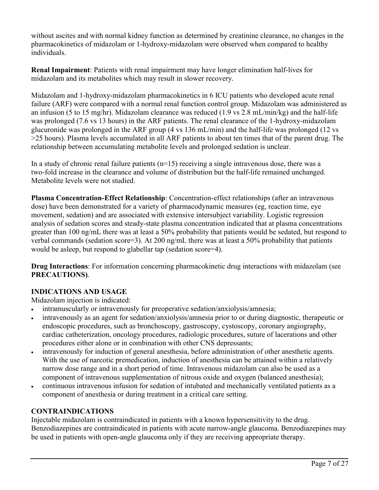without ascites and with normal kidney function as determined by creatinine clearance, no changes in the pharmacokinetics of midazolam or 1-hydroxy-midazolam were observed when compared to healthy individuals.

**Renal Impairment**: Patients with renal impairment may have longer elimination half-lives for midazolam and its metabolites which may result in slower recovery.

Midazolam and 1-hydroxy-midazolam pharmacokinetics in 6 ICU patients who developed acute renal failure (ARF) were compared with a normal renal function control group. Midazolam was administered as an infusion (5 to 15 mg/hr). Midazolam clearance was reduced (1.9 vs 2.8 mL/min/kg) and the half-life was prolonged (7.6 vs 13 hours) in the ARF patients. The renal clearance of the 1-hydroxy-midazolam glucuronide was prolonged in the ARF group (4 vs 136 mL/min) and the half-life was prolonged (12 vs >25 hours). Plasma levels accumulated in all ARF patients to about ten times that of the parent drug. The relationship between accumulating metabolite levels and prolonged sedation is unclear.

In a study of chronic renal failure patients  $(n=15)$  receiving a single intravenous dose, there was a two-fold increase in the clearance and volume of distribution but the half-life remained unchanged. Metabolite levels were not studied.

**Plasma Concentration-Effect Relationship**: Concentration-effect relationships (after an intravenous dose) have been demonstrated for a variety of pharmacodynamic measures (eg, reaction time, eye movement, sedation) and are associated with extensive intersubject variability. Logistic regression analysis of sedation scores and steady-state plasma concentration indicated that at plasma concentrations greater than 100 ng/mL there was at least a 50% probability that patients would be sedated, but respond to verbal commands (sedation score=3). At 200 ng/mL there was at least a 50% probability that patients would be asleep, but respond to glabellar tap (sedation score=4).

**Drug Interactions**: For information concerning pharmacokinetic drug interactions with midazolam (see **PRECAUTIONS)**.

# **INDICATIONS AND USAGE**

Midazolam injection is indicated:

- intramuscularly or intravenously for preoperative sedation/anxiolysis/amnesia;
- intravenously as an agent for sedation/anxiolysis/amnesia prior to or during diagnostic, therapeutic or endoscopic procedures, such as bronchoscopy, gastroscopy, cystoscopy, coronary angiography, cardiac catheterization, oncology procedures, radiologic procedures, suture of lacerations and other procedures either alone or in combination with other CNS depressants;
- intravenously for induction of general anesthesia, before administration of other anesthetic agents. With the use of narcotic premedication, induction of anesthesia can be attained within a relatively narrow dose range and in a short period of time. Intravenous midazolam can also be used as a component of intravenous supplementation of nitrous oxide and oxygen (balanced anesthesia);
- continuous intravenous infusion for sedation of intubated and mechanically ventilated patients as a component of anesthesia or during treatment in a critical care setting.

# **CONTRAINDICATIONS**

Injectable midazolam is contraindicated in patients with a known hypersensitivity to the drug. Benzodiazepines are contraindicated in patients with acute narrow-angle glaucoma. Benzodiazepines may be used in patients with open-angle glaucoma only if they are receiving appropriate therapy.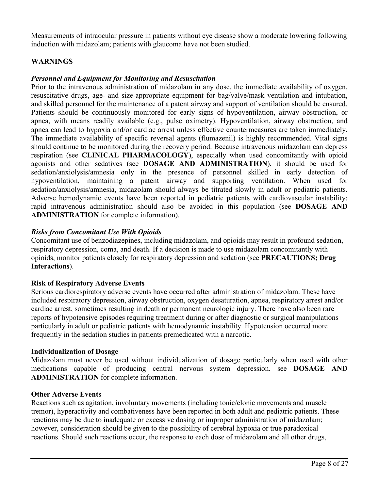Measurements of intraocular pressure in patients without eye disease show a moderate lowering following induction with midazolam; patients with glaucoma have not been studied.

# **WARNINGS**

# *Personnel and Equipment for Monitoring and Resuscitation*

Prior to the intravenous administration of midazolam in any dose, the immediate availability of oxygen, resuscitative drugs, age- and size-appropriate equipment for bag/valve/mask ventilation and intubation, and skilled personnel for the maintenance of a patent airway and support of ventilation should be ensured. Patients should be continuously monitored for early signs of hypoventilation, airway obstruction, or apnea, with means readily available (e.g., pulse oximetry). Hypoventilation, airway obstruction, and apnea can lead to hypoxia and/or cardiac arrest unless effective countermeasures are taken immediately. The immediate availability of specific reversal agents (flumazenil) is highly recommended. Vital signs should continue to be monitored during the recovery period. Because intravenous midazolam can depress respiration (see **CLINICAL PHARMACOLOGY**), especially when used concomitantly with opioid agonists and other sedatives (see **DOSAGE AND ADMINISTRATION**), it should be used for sedation/anxiolysis/amnesia only in the presence of personnel skilled in early detection of hypoventilation, maintaining a patent airway and supporting ventilation. When used for sedation/anxiolysis/amnesia, midazolam should always be titrated slowly in adult or pediatric patients. Adverse hemodynamic events have been reported in pediatric patients with cardiovascular instability; rapid intravenous administration should also be avoided in this population (see **DOSAGE AND ADMINISTRATION** for complete information).

# *Risks from Concomitant Use With Opioids*

Concomitant use of benzodiazepines, including midazolam, and opioids may result in profound sedation, respiratory depression, coma, and death. If a decision is made to use midazolam concomitantly with opioids, monitor patients closely for respiratory depression and sedation (see **PRECAUTIONS; Drug Interactions**).

# **Risk of Respiratory Adverse Events**

Serious cardiorespiratory adverse events have occurred after administration of midazolam. These have included respiratory depression, airway obstruction, oxygen desaturation, apnea, respiratory arrest and/or cardiac arrest, sometimes resulting in death or permanent neurologic injury. There have also been rare reports of hypotensive episodes requiring treatment during or after diagnostic or surgical manipulations particularly in adult or pediatric patients with hemodynamic instability. Hypotension occurred more frequently in the sedation studies in patients premedicated with a narcotic.

# **Individualization of Dosage**

Midazolam must never be used without individualization of dosage particularly when used with other medications capable of producing central nervous system depression. see **DOSAGE AND ADMINISTRATION** for complete information.

#### **Other Adverse Events**

Reactions such as agitation, involuntary movements (including tonic/clonic movements and muscle tremor), hyperactivity and combativeness have been reported in both adult and pediatric patients. These reactions may be due to inadequate or excessive dosing or improper administration of midazolam; however, consideration should be given to the possibility of cerebral hypoxia or true paradoxical reactions. Should such reactions occur, the response to each dose of midazolam and all other drugs,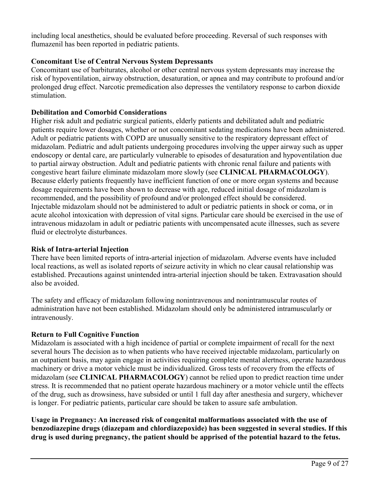including local anesthetics, should be evaluated before proceeding. Reversal of such responses with flumazenil has been reported in pediatric patients.

# **Concomitant Use of Central Nervous System Depressants**

Concomitant use of barbiturates, alcohol or other central nervous system depressants may increase the risk of hypoventilation, airway obstruction, desaturation, or apnea and may contribute to profound and/or prolonged drug effect. Narcotic premedication also depresses the ventilatory response to carbon dioxide stimulation.

## **Debilitation and Comorbid Considerations**

Higher risk adult and pediatric surgical patients, elderly patients and debilitated adult and pediatric patients require lower dosages, whether or not concomitant sedating medications have been administered. Adult or pediatric patients with COPD are unusually sensitive to the respiratory depressant effect of midazolam. Pediatric and adult patients undergoing procedures involving the upper airway such as upper endoscopy or dental care, are particularly vulnerable to episodes of desaturation and hypoventilation due to partial airway obstruction. Adult and pediatric patients with chronic renal failure and patients with congestive heart failure eliminate midazolam more slowly (see **CLINICAL PHARMACOLOGY**). Because elderly patients frequently have inefficient function of one or more organ systems and because dosage requirements have been shown to decrease with age, reduced initial dosage of midazolam is recommended, and the possibility of profound and/or prolonged effect should be considered. Injectable midazolam should not be administered to adult or pediatric patients in shock or coma, or in acute alcohol intoxication with depression of vital signs. Particular care should be exercised in the use of intravenous midazolam in adult or pediatric patients with uncompensated acute illnesses, such as severe fluid or electrolyte disturbances.

## **Risk of Intra-arterial Injection**

There have been limited reports of intra-arterial injection of midazolam. Adverse events have included local reactions, as well as isolated reports of seizure activity in which no clear causal relationship was established. Precautions against unintended intra-arterial injection should be taken. Extravasation should also be avoided.

The safety and efficacy of midazolam following nonintravenous and nonintramuscular routes of administration have not been established. Midazolam should only be administered intramuscularly or intravenously.

#### **Return to Full Cognitive Function**

Midazolam is associated with a high incidence of partial or complete impairment of recall for the next several hours The decision as to when patients who have received injectable midazolam, particularly on an outpatient basis, may again engage in activities requiring complete mental alertness, operate hazardous machinery or drive a motor vehicle must be individualized. Gross tests of recovery from the effects of midazolam (see **CLINICAL PHARMACOLOGY**) cannot be relied upon to predict reaction time under stress. It is recommended that no patient operate hazardous machinery or a motor vehicle until the effects of the drug, such as drowsiness, have subsided or until 1 full day after anesthesia and surgery, whichever is longer. For pediatric patients, particular care should be taken to assure safe ambulation.

**Usage in Pregnancy: An increased risk of congenital malformations associated with the use of benzodiazepine drugs (diazepam and chlordiazepoxide) has been suggested in several studies. If this drug is used during pregnancy, the patient should be apprised of the potential hazard to the fetus.**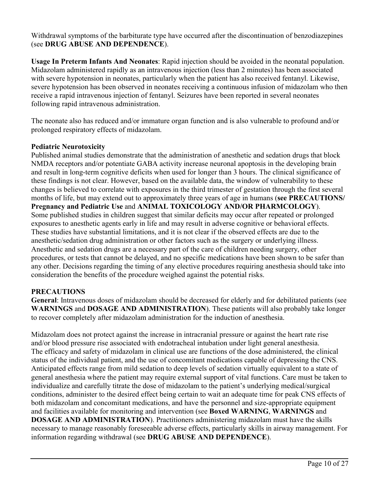Withdrawal symptoms of the barbiturate type have occurred after the discontinuation of benzodiazepines (see **DRUG ABUSE AND DEPENDENCE**).

**Usage In Preterm Infants And Neonates**: Rapid injection should be avoided in the neonatal population. Midazolam administered rapidly as an intravenous injection (less than 2 minutes) has been associated with severe hypotension in neonates, particularly when the patient has also received fentanyl. Likewise, severe hypotension has been observed in neonates receiving a continuous infusion of midazolam who then receive a rapid intravenous injection of fentanyl. Seizures have been reported in several neonates following rapid intravenous administration.

The neonate also has reduced and/or immature organ function and is also vulnerable to profound and/or prolonged respiratory effects of midazolam.

# **Pediatric Neurotoxicity**

Published animal studies demonstrate that the administration of anesthetic and sedation drugs that block NMDA receptors and/or potentiate GABA activity increase neuronal apoptosis in the developing brain and result in long-term cognitive deficits when used for longer than 3 hours. The clinical significance of these findings is not clear. However, based on the available data, the window of vulnerability to these changes is believed to correlate with exposures in the third trimester of gestation through the first several months of life, but may extend out to approximately three years of age in humans (**see PRECAUTIONS/ Pregnancy and Pediatric Use** and **ANIMAL TOXICOLOGY AND/OR PHARMCOLOGY**). Some published studies in children suggest that similar deficits may occur after repeated or prolonged exposures to anesthetic agents early in life and may result in adverse cognitive or behavioral effects. These studies have substantial limitations, and it is not clear if the observed effects are due to the anesthetic/sedation drug administration or other factors such as the surgery or underlying illness. Anesthetic and sedation drugs are a necessary part of the care of children needing surgery, other procedures, or tests that cannot be delayed, and no specific medications have been shown to be safer than any other. Decisions regarding the timing of any elective procedures requiring anesthesia should take into consideration the benefits of the procedure weighed against the potential risks.

# **PRECAUTIONS**

**General**: Intravenous doses of midazolam should be decreased for elderly and for debilitated patients (see **WARNINGS** and **DOSAGE AND ADMINISTRATION**). These patients will also probably take longer to recover completely after midazolam administration for the induction of anesthesia.

Midazolam does not protect against the increase in intracranial pressure or against the heart rate rise and/or blood pressure rise associated with endotracheal intubation under light general anesthesia. The efficacy and safety of midazolam in clinical use are functions of the dose administered, the clinical status of the individual patient, and the use of concomitant medications capable of depressing the CNS. Anticipated effects range from mild sedation to deep levels of sedation virtually equivalent to a state of general anesthesia where the patient may require external support of vital functions. Care must be taken to individualize and carefully titrate the dose of midazolam to the patient's underlying medical/surgical conditions, administer to the desired effect being certain to wait an adequate time for peak CNS effects of both midazolam and concomitant medications, and have the personnel and size-appropriate equipment and facilities available for monitoring and intervention (see **Boxed WARNING**, **WARNINGS** and **DOSAGE AND ADMINISTRATION**). Practitioners administering midazolam must have the skills necessary to manage reasonably foreseeable adverse effects, particularly skills in airway management. For information regarding withdrawal (see **DRUG ABUSE AND DEPENDENCE**).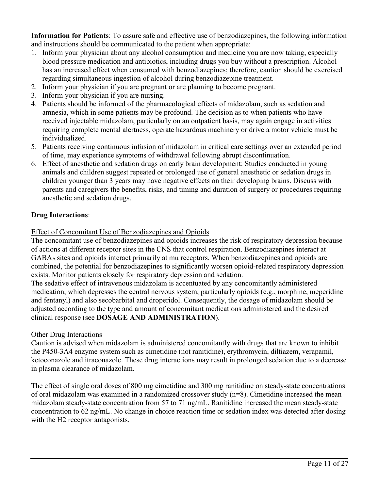**Information for Patients**: To assure safe and effective use of benzodiazepines, the following information and instructions should be communicated to the patient when appropriate:

- 1. Inform your physician about any alcohol consumption and medicine you are now taking, especially blood pressure medication and antibiotics, including drugs you buy without a prescription. Alcohol has an increased effect when consumed with benzodiazepines; therefore, caution should be exercised regarding simultaneous ingestion of alcohol during benzodiazepine treatment.
- 2. Inform your physician if you are pregnant or are planning to become pregnant.
- 3. Inform your physician if you are nursing.
- 4. Patients should be informed of the pharmacological effects of midazolam, such as sedation and amnesia, which in some patients may be profound. The decision as to when patients who have received injectable midazolam, particularly on an outpatient basis, may again engage in activities requiring complete mental alertness, operate hazardous machinery or drive a motor vehicle must be individualized.
- 5. Patients receiving continuous infusion of midazolam in critical care settings over an extended period of time, may experience symptoms of withdrawal following abrupt discontinuation.
- 6. Effect of anesthetic and sedation drugs on early brain development: Studies conducted in young animals and children suggest repeated or prolonged use of general anesthetic or sedation drugs in children younger than 3 years may have negative effects on their developing brains. Discuss with parents and caregivers the benefits, risks, and timing and duration of surgery or procedures requiring anesthetic and sedation drugs.

## **Drug Interactions**:

## Effect of Concomitant Use of Benzodiazepines and Opioids

The concomitant use of benzodiazepines and opioids increases the risk of respiratory depression because of actions at different receptor sites in the CNS that control respiration. Benzodiazepines interact at GABA<sup>A</sup> sites and opioids interact primarily at mu receptors. When benzodiazepines and opioids are combined, the potential for benzodiazepines to significantly worsen opioid-related respiratory depression exists. Monitor patients closely for respiratory depression and sedation.

The sedative effect of intravenous midazolam is accentuated by any concomitantly administered medication, which depresses the central nervous system, particularly opioids (e.g., morphine, meperidine and fentanyl) and also secobarbital and droperidol. Consequently, the dosage of midazolam should be adjusted according to the type and amount of concomitant medications administered and the desired clinical response (see **DOSAGE AND ADMINISTRATION**).

#### Other Drug Interactions

Caution is advised when midazolam is administered concomitantly with drugs that are known to inhibit the P450-3A4 enzyme system such as cimetidine (not ranitidine), erythromycin, diltiazem, verapamil, ketoconazole and itraconazole. These drug interactions may result in prolonged sedation due to a decrease in plasma clearance of midazolam.

The effect of single oral doses of 800 mg cimetidine and 300 mg ranitidine on steady-state concentrations of oral midazolam was examined in a randomized crossover study (n=8). Cimetidine increased the mean midazolam steady-state concentration from 57 to 71 ng/mL. Ranitidine increased the mean steady-state concentration to 62 ng/mL. No change in choice reaction time or sedation index was detected after dosing with the H2 receptor antagonists.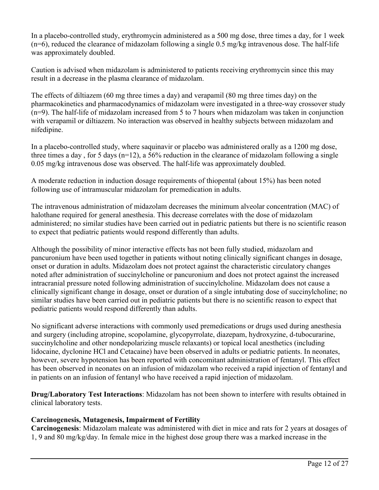In a placebo-controlled study, erythromycin administered as a 500 mg dose, three times a day, for 1 week (n=6), reduced the clearance of midazolam following a single 0.5 mg/kg intravenous dose. The half-life was approximately doubled.

Caution is advised when midazolam is administered to patients receiving erythromycin since this may result in a decrease in the plasma clearance of midazolam.

The effects of diltiazem (60 mg three times a day) and verapamil (80 mg three times day) on the pharmacokinetics and pharmacodynamics of midazolam were investigated in a three-way crossover study (n=9). The half-life of midazolam increased from 5 to 7 hours when midazolam was taken in conjunction with verapamil or diltiazem. No interaction was observed in healthy subjects between midazolam and nifedipine.

In a placebo-controlled study, where saquinavir or placebo was administered orally as a 1200 mg dose, three times a day, for 5 days ( $n=12$ ), a 56% reduction in the clearance of midazolam following a single 0.05 mg/kg intravenous dose was observed. The half-life was approximately doubled.

A moderate reduction in induction dosage requirements of thiopental (about 15%) has been noted following use of intramuscular midazolam for premedication in adults.

The intravenous administration of midazolam decreases the minimum alveolar concentration (MAC) of halothane required for general anesthesia. This decrease correlates with the dose of midazolam administered; no similar studies have been carried out in pediatric patients but there is no scientific reason to expect that pediatric patients would respond differently than adults.

Although the possibility of minor interactive effects has not been fully studied, midazolam and pancuronium have been used together in patients without noting clinically significant changes in dosage, onset or duration in adults. Midazolam does not protect against the characteristic circulatory changes noted after administration of succinylcholine or pancuronium and does not protect against the increased intracranial pressure noted following administration of succinylcholine. Midazolam does not cause a clinically significant change in dosage, onset or duration of a single intubating dose of succinylcholine; no similar studies have been carried out in pediatric patients but there is no scientific reason to expect that pediatric patients would respond differently than adults.

No significant adverse interactions with commonly used premedications or drugs used during anesthesia and surgery (including atropine, scopolamine, glycopyrrolate, diazepam, hydroxyzine, d-tubocurarine, succinylcholine and other nondepolarizing muscle relaxants) or topical local anesthetics (including lidocaine, dyclonine HCl and Cetacaine) have been observed in adults or pediatric patients. In neonates, however, severe hypotension has been reported with concomitant administration of fentanyl. This effect has been observed in neonates on an infusion of midazolam who received a rapid injection of fentanyl and in patients on an infusion of fentanyl who have received a rapid injection of midazolam.

**Drug/Laboratory Test Interactions**: Midazolam has not been shown to interfere with results obtained in clinical laboratory tests.

# **Carcinogenesis, Mutagenesis, Impairment of Fertility**

**Carcinogenesis**: Midazolam maleate was administered with diet in mice and rats for 2 years at dosages of 1, 9 and 80 mg/kg/day. In female mice in the highest dose group there was a marked increase in the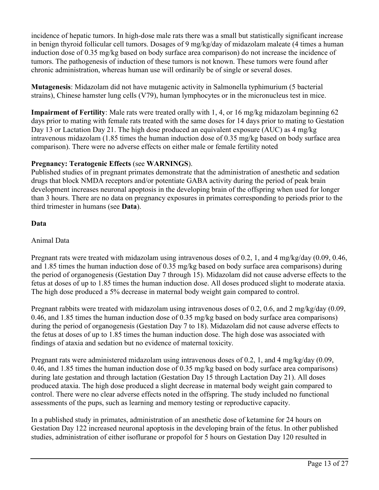incidence of hepatic tumors. In high-dose male rats there was a small but statistically significant increase in benign thyroid follicular cell tumors. Dosages of 9 mg/kg/day of midazolam maleate (4 times a human induction dose of 0.35 mg/kg based on body surface area comparison) do not increase the incidence of tumors. The pathogenesis of induction of these tumors is not known. These tumors were found after chronic administration, whereas human use will ordinarily be of single or several doses.

**Mutagenesis**: Midazolam did not have mutagenic activity in Salmonella typhimurium (5 bacterial strains), Chinese hamster lung cells (V79), human lymphocytes or in the micronucleus test in mice.

**Impairment of Fertility**: Male rats were treated orally with 1, 4, or 16 mg/kg midazolam beginning 62 days prior to mating with female rats treated with the same doses for 14 days prior to mating to Gestation Day 13 or Lactation Day 21. The high dose produced an equivalent exposure (AUC) as 4 mg/kg intravenous midazolam (1.85 times the human induction dose of 0.35 mg/kg based on body surface area comparison). There were no adverse effects on either male or female fertility noted

# **Pregnancy: Teratogenic Effects** (see **WARNINGS**).

Published studies of in pregnant primates demonstrate that the administration of anesthetic and sedation drugs that block NMDA receptors and/or potentiate GABA activity during the period of peak brain development increases neuronal apoptosis in the developing brain of the offspring when used for longer than 3 hours. There are no data on pregnancy exposures in primates corresponding to periods prior to the third trimester in humans (see **Data**).

# **Data**

# Animal Data

Pregnant rats were treated with midazolam using intravenous doses of 0.2, 1, and 4 mg/kg/day (0.09, 0.46, and 1.85 times the human induction dose of 0.35 mg/kg based on body surface area comparisons) during the period of organogenesis (Gestation Day 7 through 15). Midazolam did not cause adverse effects to the fetus at doses of up to 1.85 times the human induction dose. All doses produced slight to moderate ataxia. The high dose produced a 5% decrease in maternal body weight gain compared to control.

Pregnant rabbits were treated with midazolam using intravenous doses of 0.2, 0.6, and 2 mg/kg/day (0.09, 0.46, and 1.85 times the human induction dose of 0.35 mg/kg based on body surface area comparisons) during the period of organogenesis (Gestation Day 7 to 18). Midazolam did not cause adverse effects to the fetus at doses of up to 1.85 times the human induction dose. The high dose was associated with findings of ataxia and sedation but no evidence of maternal toxicity.

Pregnant rats were administered midazolam using intravenous doses of 0.2, 1, and 4 mg/kg/day (0.09, 0.46, and 1.85 times the human induction dose of 0.35 mg/kg based on body surface area comparisons) during late gestation and through lactation (Gestation Day 15 through Lactation Day 21). All doses produced ataxia. The high dose produced a slight decrease in maternal body weight gain compared to control. There were no clear adverse effects noted in the offspring. The study included no functional assessments of the pups, such as learning and memory testing or reproductive capacity.

In a published study in primates, administration of an anesthetic dose of ketamine for 24 hours on Gestation Day 122 increased neuronal apoptosis in the developing brain of the fetus. In other published studies, administration of either isoflurane or propofol for 5 hours on Gestation Day 120 resulted in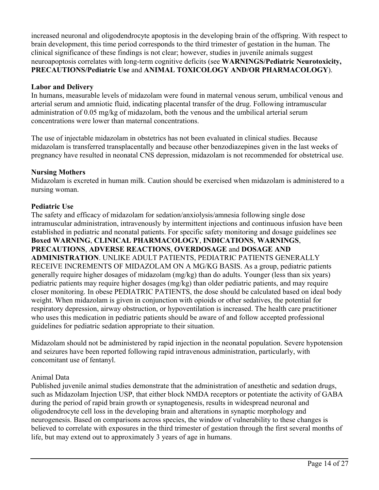increased neuronal and oligodendrocyte apoptosis in the developing brain of the offspring. With respect to brain development, this time period corresponds to the third trimester of gestation in the human. The clinical significance of these findings is not clear; however, studies in juvenile animals suggest neuroapoptosis correlates with long-term cognitive deficits (see **WARNINGS/Pediatric Neurotoxicity, PRECAUTIONS/Pediatric Use** and **ANIMAL TOXICOLOGY AND/OR PHARMACOLOGY**).

## **Labor and Delivery**

In humans, measurable levels of midazolam were found in maternal venous serum, umbilical venous and arterial serum and amniotic fluid, indicating placental transfer of the drug. Following intramuscular administration of 0.05 mg/kg of midazolam, both the venous and the umbilical arterial serum concentrations were lower than maternal concentrations.

The use of injectable midazolam in obstetrics has not been evaluated in clinical studies. Because midazolam is transferred transplacentally and because other benzodiazepines given in the last weeks of pregnancy have resulted in neonatal CNS depression, midazolam is not recommended for obstetrical use.

## **Nursing Mothers**

Midazolam is excreted in human milk. Caution should be exercised when midazolam is administered to a nursing woman.

## **Pediatric Use**

The safety and efficacy of midazolam for sedation/anxiolysis/amnesia following single dose intramuscular administration, intravenously by intermittent injections and continuous infusion have been established in pediatric and neonatal patients. For specific safety monitoring and dosage guidelines see **Boxed WARNING**, **CLINICAL PHARMACOLOGY**, **INDICATIONS**, **WARNINGS**, **PRECAUTIONS**, **ADVERSE REACTIONS**, **OVERDOSAGE** and **DOSAGE AND ADMINISTRATION**. UNLIKE ADULT PATIENTS, PEDIATRIC PATIENTS GENERALLY RECEIVE INCREMENTS OF MIDAZOLAM ON A MG/KG BASIS. As a group, pediatric patients generally require higher dosages of midazolam (mg/kg) than do adults. Younger (less than six years) pediatric patients may require higher dosages (mg/kg) than older pediatric patients, and may require closer monitoring. In obese PEDIATRIC PATIENTS, the dose should be calculated based on ideal body weight. When midazolam is given in conjunction with opioids or other sedatives, the potential for respiratory depression, airway obstruction, or hypoventilation is increased. The health care practitioner who uses this medication in pediatric patients should be aware of and follow accepted professional guidelines for pediatric sedation appropriate to their situation.

Midazolam should not be administered by rapid injection in the neonatal population. Severe hypotension and seizures have been reported following rapid intravenous administration, particularly, with concomitant use of fentanyl.

# Animal Data

Published juvenile animal studies demonstrate that the administration of anesthetic and sedation drugs, such as Midazolam Injection USP, that either block NMDA receptors or potentiate the activity of GABA during the period of rapid brain growth or synaptogenesis, results in widespread neuronal and oligodendrocyte cell loss in the developing brain and alterations in synaptic morphology and neurogenesis. Based on comparisons across species, the window of vulnerability to these changes is believed to correlate with exposures in the third trimester of gestation through the first several months of life, but may extend out to approximately 3 years of age in humans.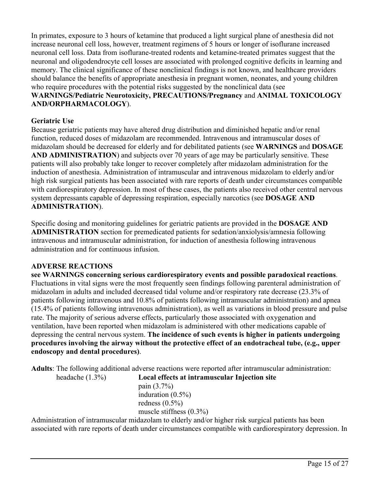In primates, exposure to 3 hours of ketamine that produced a light surgical plane of anesthesia did not increase neuronal cell loss, however, treatment regimens of 5 hours or longer of isoflurane increased neuronal cell loss. Data from isoflurane-treated rodents and ketamine-treated primates suggest that the neuronal and oligodendrocyte cell losses are associated with prolonged cognitive deficits in learning and memory. The clinical significance of these nonclinical findings is not known, and healthcare providers should balance the benefits of appropriate anesthesia in pregnant women, neonates, and young children who require procedures with the potential risks suggested by the nonclinical data (see

#### **WARNINGS/Pediatric Neurotoxicity, PRECAUTIONS/Pregnancy** and **ANIMAL TOXICOLOGY AND/ORPHARMACOLOGY**).

## **Geriatric Use**

Because geriatric patients may have altered drug distribution and diminished hepatic and/or renal function, reduced doses of midazolam are recommended. Intravenous and intramuscular doses of midazolam should be decreased for elderly and for debilitated patients (see **WARNINGS** and **DOSAGE AND ADMINISTRATION**) and subjects over 70 years of age may be particularly sensitive. These patients will also probably take longer to recover completely after midazolam administration for the induction of anesthesia. Administration of intramuscular and intravenous midazolam to elderly and/or high risk surgical patients has been associated with rare reports of death under circumstances compatible with cardiorespiratory depression. In most of these cases, the patients also received other central nervous system depressants capable of depressing respiration, especially narcotics (see **DOSAGE AND ADMINISTRATION**).

Specific dosing and monitoring guidelines for geriatric patients are provided in the **DOSAGE AND ADMINISTRATION** section for premedicated patients for sedation/anxiolysis/amnesia following intravenous and intramuscular administration, for induction of anesthesia following intravenous administration and for continuous infusion.

# **ADVERSE REACTIONS**

**see WARNINGS concerning serious cardiorespiratory events and possible paradoxical reactions**. Fluctuations in vital signs were the most frequently seen findings following parenteral administration of midazolam in adults and included decreased tidal volume and/or respiratory rate decrease (23.3% of patients following intravenous and 10.8% of patients following intramuscular administration) and apnea (15.4% of patients following intravenous administration), as well as variations in blood pressure and pulse rate. The majority of serious adverse effects, particularly those associated with oxygenation and ventilation, have been reported when midazolam is administered with other medications capable of depressing the central nervous system. **The incidence of such events is higher in patients undergoing procedures involving the airway without the protective effect of an endotracheal tube, (e.g., upper endoscopy and dental procedures)**.

**Adults**: The following additional adverse reactions were reported after intramuscular administration:

headache (1.3%) **Local effects at intramuscular Injection site** pain (3.7%) induration (0.5%) redness  $(0.5\%)$ muscle stiffness (0.3%)

Administration of intramuscular midazolam to elderly and/or higher risk surgical patients has been associated with rare reports of death under circumstances compatible with cardiorespiratory depression. In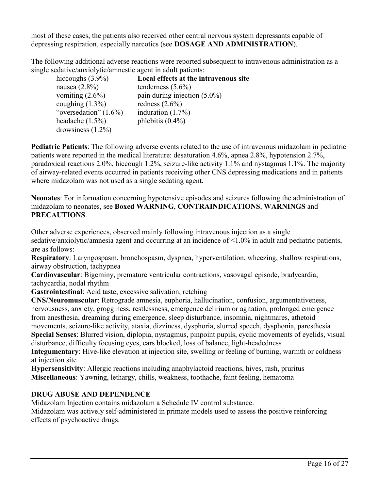most of these cases, the patients also received other central nervous system depressants capable of depressing respiration, especially narcotics (see **DOSAGE AND ADMINISTRATION**).

The following additional adverse reactions were reported subsequent to intravenous administration as a single sedative/anxiolytic/amnestic agent in adult patients:

| hiccoughs $(3.9\%)$      | Local effects at the intravenous site |
|--------------------------|---------------------------------------|
| nausea (2.8%)            | tenderness $(5.6\%)$                  |
| vomiting $(2.6\%)$       | pain during injection $(5.0\%)$       |
| coughing $(1.3\%)$       | redness $(2.6\%)$                     |
| "oversedation" $(1.6\%)$ | induration $(1.7\%)$                  |
| headache $(1.5\%)$       | phlebitis $(0.4\%)$                   |
| drowsiness $(1.2\%)$     |                                       |

**Pediatric Patients**: The following adverse events related to the use of intravenous midazolam in pediatric patients were reported in the medical literature: desaturation 4.6%, apnea 2.8%, hypotension 2.7%, paradoxical reactions 2.0%, hiccough 1.2%, seizure-like activity 1.1% and nystagmus 1.1%. The majority of airway-related events occurred in patients receiving other CNS depressing medications and in patients where midazolam was not used as a single sedating agent.

**Neonates**: For information concerning hypotensive episodes and seizures following the administration of midazolam to neonates, see **Boxed WARNING**, **CONTRAINDICATIONS**, **WARNINGS** and **PRECAUTIONS**.

Other adverse experiences, observed mainly following intravenous injection as a single sedative/anxiolytic/amnesia agent and occurring at an incidence of <1.0% in adult and pediatric patients, are as follows:

**Respiratory**: Laryngospasm, bronchospasm, dyspnea, hyperventilation, wheezing, shallow respirations, airway obstruction, tachypnea

**Cardiovascular**: Bigeminy, premature ventricular contractions, vasovagal episode, bradycardia, tachycardia, nodal rhythm

**Gastrointestinal**: Acid taste, excessive salivation, retching

**CNS/Neuromuscular**: Retrograde amnesia, euphoria, hallucination, confusion, argumentativeness, nervousness, anxiety, grogginess, restlessness, emergence delirium or agitation, prolonged emergence from anesthesia, dreaming during emergence, sleep disturbance, insomnia, nightmares, athetoid movements, seizure-like activity, ataxia, dizziness, dysphoria, slurred speech, dysphonia, paresthesia **Special Senses**: Blurred vision, diplopia, nystagmus, pinpoint pupils, cyclic movements of eyelids, visual disturbance, difficulty focusing eyes, ears blocked, loss of balance, light-headedness

**Integumentary**: Hive-like elevation at injection site, swelling or feeling of burning, warmth or coldness at injection site

**Hypersensitivity**: Allergic reactions including anaphylactoid reactions, hives, rash, pruritus **Miscellaneous**: Yawning, lethargy, chills, weakness, toothache, faint feeling, hematoma

# **DRUG ABUSE AND DEPENDENCE**

Midazolam Injection contains midazolam a Schedule IV control substance.

Midazolam was actively self-administered in primate models used to assess the positive reinforcing effects of psychoactive drugs.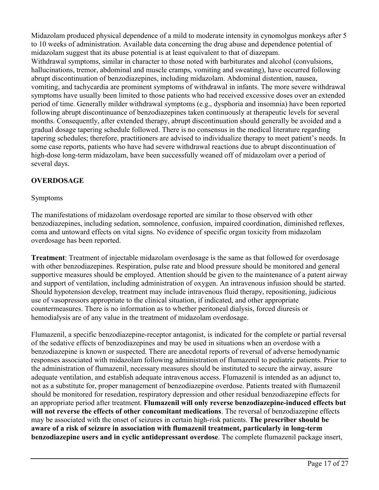Midazolam produced physical dependence of a mild to moderate intensity in cynomolgus monkeys after 5 to 10 weeks of administration. Available data concerning the drug abuse and dependence potential of midazolam suggest that its abuse potential is at least equivalent to that of diazepam.

Withdrawal symptoms, similar in character to those noted with barbiturates and alcohol (convulsions, hallucinations, tremor, abdominal and muscle cramps, vomiting and sweating), have occurred following abrupt discontinuation of benzodiazepines, including midazolam. Abdominal distention, nausea, vomiting, and tachycardia are prominent symptoms of withdrawal in infants. The more severe withdrawal symptoms have usually been limited to those patients who had received excessive doses over an extended period of time. Generally milder withdrawal symptoms (e.g., dysphoria and insomnia) have been reported following abrupt discontinuance of benzodiazepines taken continuously at therapeutic levels for several months. Consequently, after extended therapy, abrupt discontinuation should generally be avoided and a gradual dosage tapering schedule followed. There is no consensus in the medical literature regarding tapering schedules; therefore, practitioners are advised to individualize therapy to meet patient's needs. In some case reports, patients who have had severe withdrawal reactions due to abrupt discontinuation of high-dose long-term midazolam, have been successfully weaned off of midazolam over a period of several days.

# **OVERDOSAGE**

## Symptoms

The manifestations of midazolam overdosage reported are similar to those observed with other benzodiazepines, including sedation, somnolence, confusion, impaired coordination, diminished reflexes, coma and untoward effects on vital signs. No evidence of specific organ toxicity from midazolam overdosage has been reported.

**Treatment**: Treatment of injectable midazolam overdosage is the same as that followed for overdosage with other benzodiazepines. Respiration, pulse rate and blood pressure should be monitored and general supportive measures should be employed. Attention should be given to the maintenance of a patent airway and support of ventilation, including administration of oxygen. An intravenous infusion should be started. Should hypotension develop, treatment may include intravenous fluid therapy, repositioning, judicious use of vasopressors appropriate to the clinical situation, if indicated, and other appropriate countermeasures. There is no information as to whether peritoneal dialysis, forced diuresis or hemodialysis are of any value in the treatment of midazolam overdosage.

Flumazenil, a specific benzodiazepine-receptor antagonist, is indicated for the complete or partial reversal of the sedative effects of benzodiazepines and may be used in situations when an overdose with a benzodiazepine is known or suspected. There are anecdotal reports of reversal of adverse hemodynamic responses associated with midazolam following administration of flumazenil to pediatric patients. Prior to the administration of flumazenil, necessary measures should be instituted to secure the airway, assure adequate ventilation, and establish adequate intravenous access. Flumazenil is intended as an adjunct to, not as a substitute for, proper management of benzodiazepine overdose. Patients treated with flumazenil should be monitored for resedation, respiratory depression and other residual benzodiazepine effects for an appropriate period after treatment. **Flumazenil will only reverse benzodiazepine-induced effects but will not reverse the effects of other concomitant medications**. The reversal of benzodiazepine effects may be associated with the onset of seizures in certain high-risk patients. **The prescriber should be aware of a risk of seizure in association with flumazenil treatment, particularly in long-term benzodiazepine users and in cyclic antidepressant overdose**. The complete flumazenil package insert,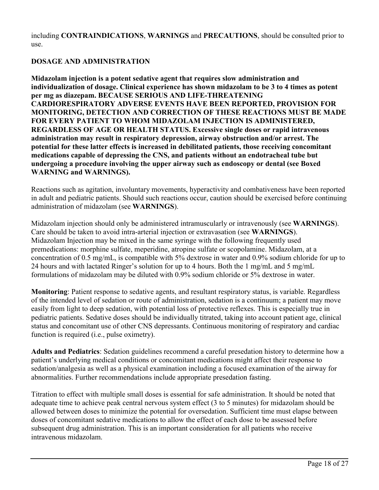including **CONTRAINDICATIONS**, **WARNINGS** and **PRECAUTIONS**, should be consulted prior to use.

# **DOSAGE AND ADMINISTRATION**

**Midazolam injection is a potent sedative agent that requires slow administration and individualization of dosage. Clinical experience has shown midazolam to be 3 to 4 times as potent per mg as diazepam. BECAUSE SERIOUS AND LIFE-THREATENING CARDIORESPIRATORY ADVERSE EVENTS HAVE BEEN REPORTED, PROVISION FOR MONITORING, DETECTION AND CORRECTION OF THESE REACTIONS MUST BE MADE FOR EVERY PATIENT TO WHOM MIDAZOLAM INJECTION IS ADMINISTERED, REGARDLESS OF AGE OR HEALTH STATUS. Excessive single doses or rapid intravenous administration may result in respiratory depression, airway obstruction and/or arrest. The potential for these latter effects is increased in debilitated patients, those receiving concomitant medications capable of depressing the CNS, and patients without an endotracheal tube but undergoing a procedure involving the upper airway such as endoscopy or dental (see Boxed WARNING and WARNINGS).**

Reactions such as agitation, involuntary movements, hyperactivity and combativeness have been reported in adult and pediatric patients. Should such reactions occur, caution should be exercised before continuing administration of midazolam (see **WARNINGS**).

Midazolam injection should only be administered intramuscularly or intravenously (see **WARNINGS**). Care should be taken to avoid intra-arterial injection or extravasation (see **WARNINGS**). Midazolam Injection may be mixed in the same syringe with the following frequently used premedications: morphine sulfate, meperidine, atropine sulfate or scopolamine. Midazolam, at a concentration of 0.5 mg/mL, is compatible with 5% dextrose in water and 0.9% sodium chloride for up to 24 hours and with lactated Ringer's solution for up to 4 hours. Both the 1 mg/mL and 5 mg/mL formulations of midazolam may be diluted with 0.9% sodium chloride or 5% dextrose in water.

**Monitoring**: Patient response to sedative agents, and resultant respiratory status, is variable. Regardless of the intended level of sedation or route of administration, sedation is a continuum; a patient may move easily from light to deep sedation, with potential loss of protective reflexes. This is especially true in pediatric patients. Sedative doses should be individually titrated, taking into account patient age, clinical status and concomitant use of other CNS depressants. Continuous monitoring of respiratory and cardiac function is required (i.e., pulse oximetry).

**Adults and Pediatrics**: Sedation guidelines recommend a careful presedation history to determine how a patient's underlying medical conditions or concomitant medications might affect their response to sedation/analgesia as well as a physical examination including a focused examination of the airway for abnormalities. Further recommendations include appropriate presedation fasting.

Titration to effect with multiple small doses is essential for safe administration. It should be noted that adequate time to achieve peak central nervous system effect (3 to 5 minutes) for midazolam should be allowed between doses to minimize the potential for oversedation. Sufficient time must elapse between doses of concomitant sedative medications to allow the effect of each dose to be assessed before subsequent drug administration. This is an important consideration for all patients who receive intravenous midazolam.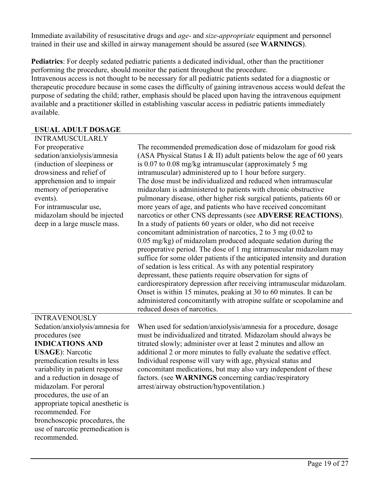Immediate availability of resuscitative drugs and *age-* and *size-appropriate* equipment and personnel trained in their use and skilled in airway management should be assured (see **WARNINGS**).

**Pediatrics**: For deeply sedated pediatric patients a dedicated individual, other than the practitioner performing the procedure, should monitor the patient throughout the procedure. Intravenous access is not thought to be necessary for all pediatric patients sedated for a diagnostic or therapeutic procedure because in some cases the difficulty of gaining intravenous access would defeat the purpose of sedating the child; rather, emphasis should be placed upon having the intravenous equipment available and a practitioner skilled in establishing vascular access in pediatric patients immediately available.

## **USUAL ADULT DOSAGE**

| <b>INTRAMUSCULARLY</b>       |                                                                                  |
|------------------------------|----------------------------------------------------------------------------------|
| For preoperative             | The recommended premedication dose of midazolam for good risk                    |
| sedation/anxiolysis/amnesia  | (ASA Physical Status I & II) adult patients below the age of 60 years            |
| (induction of sleepiness or  | is 0.07 to 0.08 mg/kg intramuscular (approximately 5 mg)                         |
| drowsiness and relief of     | intramuscular) administered up to 1 hour before surgery.                         |
| apprehension and to impair   | The dose must be individualized and reduced when intramuscular                   |
| memory of perioperative      | midazolam is administered to patients with chronic obstructive                   |
| events).                     | pulmonary disease, other higher risk surgical patients, patients 60 or           |
| For intramuscular use,       | more years of age, and patients who have received concomitant                    |
| midazolam should be injected | narcotics or other CNS depressants (see ADVERSE REACTIONS).                      |
| deep in a large muscle mass. | In a study of patients 60 years or older, who did not receive                    |
|                              | concomitant administration of narcotics, 2 to 3 mg $(0.02 \text{ to } 10^{-10})$ |
|                              | $0.05 \text{ mg/kg}$ ) of midazolam produced adequate sedation during the        |
|                              | preoperative period. The dose of 1 mg intramuscular midazolam may                |
|                              | suffice for some older patients if the anticipated intensity and duration        |
|                              | of sedation is less critical. As with any potential respiratory                  |
|                              | depressant, these patients require observation for signs of                      |
|                              | cardiorespiratory depression after receiving intramuscular midazolam.            |
|                              | Onset is within 15 minutes, peaking at 30 to 60 minutes. It can be               |
|                              | administered concomitantly with atropine sulfate or scopolamine and              |
|                              | reduced doses of narcotics.                                                      |
| <b>INTRAVENOUSLY</b>         |                                                                                  |

#### INTRAVENOUSLY

Sedation/anxiolysis/amnesia for procedures (see **INDICATIONS AND USAGE**): Narcotic premedication results in less variability in patient response and a reduction in dosage of midazolam. For peroral procedures, the use of an appropriate topical anesthetic is recommended. For bronchoscopic procedures, the use of narcotic premedication is recommended.

When used for sedation/anxiolysis/amnesia for a procedure, dosage must be individualized and titrated. Midazolam should always be titrated slowly; administer over at least 2 minutes and allow an additional 2 or more minutes to fully evaluate the sedative effect. Individual response will vary with age, physical status and concomitant medications, but may also vary independent of these factors. (see **WARNINGS** concerning cardiac/respiratory arrest/airway obstruction/hypoventilation.)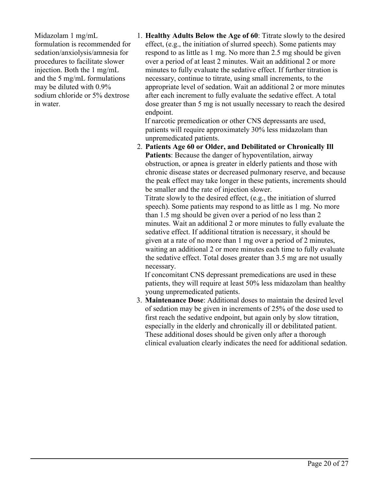Midazolam 1 mg/mL formulation is recommended for sedation/anxiolysis/amnesia for procedures to facilitate slower injection. Both the 1 mg/mL and the 5 mg/mL formulations may be diluted with 0.9% sodium chloride or 5% dextrose in water.

1. **Healthy Adults Below the Age of 60**: Titrate slowly to the desired effect, (e.g., the initiation of slurred speech). Some patients may respond to as little as 1 mg. No more than 2.5 mg should be given over a period of at least 2 minutes. Wait an additional 2 or more minutes to fully evaluate the sedative effect. If further titration is necessary, continue to titrate, using small increments, to the appropriate level of sedation. Wait an additional 2 or more minutes after each increment to fully evaluate the sedative effect. A total dose greater than 5 mg is not usually necessary to reach the desired endpoint.

If narcotic premedication or other CNS depressants are used, patients will require approximately 30% less midazolam than unpremedicated patients.

2. **Patients Age 60 or Older, and Debilitated or Chronically Ill Patients**: Because the danger of hypoventilation, airway obstruction, or apnea is greater in elderly patients and those with chronic disease states or decreased pulmonary reserve, and because the peak effect may take longer in these patients, increments should be smaller and the rate of injection slower.

Titrate slowly to the desired effect, (e.g., the initiation of slurred speech). Some patients may respond to as little as 1 mg. No more than 1.5 mg should be given over a period of no less than 2 minutes. Wait an additional 2 or more minutes to fully evaluate the sedative effect. If additional titration is necessary, it should be given at a rate of no more than 1 mg over a period of 2 minutes, waiting an additional 2 or more minutes each time to fully evaluate the sedative effect. Total doses greater than 3.5 mg are not usually necessary.

If concomitant CNS depressant premedications are used in these patients, they will require at least 50% less midazolam than healthy young unpremedicated patients.

3. **Maintenance Dose**: Additional doses to maintain the desired level of sedation may be given in increments of 25% of the dose used to first reach the sedative endpoint, but again only by slow titration, especially in the elderly and chronically ill or debilitated patient. These additional doses should be given only after a thorough clinical evaluation clearly indicates the need for additional sedation.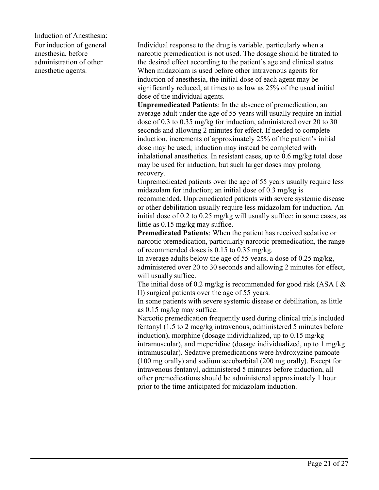Induction of Anesthesia: For induction of general anesthesia, before administration of other anesthetic agents.

Individual response to the drug is variable, particularly when a narcotic premedication is not used. The dosage should be titrated to the desired effect according to the patient's age and clinical status. When midazolam is used before other intravenous agents for induction of anesthesia, the initial dose of each agent may be significantly reduced, at times to as low as 25% of the usual initial dose of the individual agents.

**Unpremedicated Patients**: In the absence of premedication, an average adult under the age of 55 years will usually require an initial dose of 0.3 to 0.35 mg/kg for induction, administered over 20 to 30 seconds and allowing 2 minutes for effect. If needed to complete induction, increments of approximately 25% of the patient's initial dose may be used; induction may instead be completed with inhalational anesthetics. In resistant cases, up to 0.6 mg/kg total dose may be used for induction, but such larger doses may prolong recovery.

Unpremedicated patients over the age of 55 years usually require less midazolam for induction; an initial dose of 0.3 mg/kg is

recommended. Unpremedicated patients with severe systemic disease or other debilitation usually require less midazolam for induction. An initial dose of 0.2 to 0.25 mg/kg will usually suffice; in some cases, as little as 0.15 mg/kg may suffice.

**Premedicated Patients**: When the patient has received sedative or narcotic premedication, particularly narcotic premedication, the range of recommended doses is 0.15 to 0.35 mg/kg.

In average adults below the age of 55 years, a dose of 0.25 mg/kg, administered over 20 to 30 seconds and allowing 2 minutes for effect, will usually suffice.

The initial dose of 0.2 mg/kg is recommended for good risk (ASA I  $&$ II) surgical patients over the age of 55 years.

In some patients with severe systemic disease or debilitation, as little as 0.15 mg/kg may suffice.

Narcotic premedication frequently used during clinical trials included fentanyl (1.5 to 2 mcg/kg intravenous, administered 5 minutes before induction), morphine (dosage individualized, up to 0.15 mg/kg intramuscular), and meperidine (dosage individualized, up to 1 mg/kg intramuscular). Sedative premedications were hydroxyzine pamoate (100 mg orally) and sodium secobarbital (200 mg orally). Except for intravenous fentanyl, administered 5 minutes before induction, all other premedications should be administered approximately 1 hour prior to the time anticipated for midazolam induction.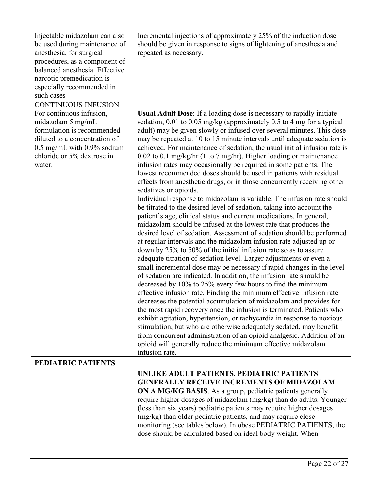Injectable midazolam can also be used during maintenance of anesthesia, for surgical procedures, as a component of balanced anesthesia. Effective narcotic premedication is especially recommended in such cases

CONTINUOUS INFUSION For continuous infusion, midazolam 5 mg/mL formulation is recommended diluted to a concentration of 0.5 mg/mL with 0.9% sodium chloride or 5% dextrose in water.

Incremental injections of approximately 25% of the induction dose should be given in response to signs of lightening of anesthesia and repeated as necessary.

**Usual Adult Dose**: If a loading dose is necessary to rapidly initiate sedation, 0.01 to 0.05 mg/kg (approximately 0.5 to 4 mg for a typical adult) may be given slowly or infused over several minutes. This dose may be repeated at 10 to 15 minute intervals until adequate sedation is achieved. For maintenance of sedation, the usual initial infusion rate is 0.02 to 0.1 mg/kg/hr (1 to 7 mg/hr). Higher loading or maintenance infusion rates may occasionally be required in some patients. The lowest recommended doses should be used in patients with residual effects from anesthetic drugs, or in those concurrently receiving other sedatives or opioids.

Individual response to midazolam is variable. The infusion rate should be titrated to the desired level of sedation, taking into account the patient's age, clinical status and current medications. In general, midazolam should be infused at the lowest rate that produces the desired level of sedation. Assessment of sedation should be performed at regular intervals and the midazolam infusion rate adjusted up or down by 25% to 50% of the initial infusion rate so as to assure adequate titration of sedation level. Larger adjustments or even a small incremental dose may be necessary if rapid changes in the level of sedation are indicated. In addition, the infusion rate should be decreased by 10% to 25% every few hours to find the minimum effective infusion rate. Finding the minimum effective infusion rate decreases the potential accumulation of midazolam and provides for the most rapid recovery once the infusion is terminated. Patients who exhibit agitation, hypertension, or tachycardia in response to noxious stimulation, but who are otherwise adequately sedated, may benefit from concurrent administration of an opioid analgesic. Addition of an opioid will generally reduce the minimum effective midazolam infusion rate.

#### **PEDIATRIC PATIENTS**

**UNLIKE ADULT PATIENTS, PEDIATRIC PATIENTS GENERALLY RECEIVE INCREMENTS OF MIDAZOLAM ON A MG/KG BASIS**. As a group, pediatric patients generally require higher dosages of midazolam (mg/kg) than do adults. Younger (less than six years) pediatric patients may require higher dosages (mg/kg) than older pediatric patients, and may require close monitoring (see tables below). In obese PEDIATRIC PATIENTS, the dose should be calculated based on ideal body weight. When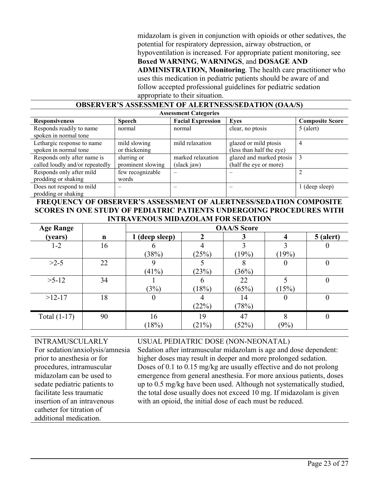midazolam is given in conjunction with opioids or other sedatives, the potential for respiratory depression, airway obstruction, or hypoventilation is increased. For appropriate patient monitoring, see **Boxed WARNING**, **WARNINGS**, and **DOSAGE AND ADMINISTRATION, Monitoring**. The health care practitioner who uses this medication in pediatric patients should be aware of and follow accepted professional guidelines for pediatric sedation appropriate to their situation.

#### **OBSERVER'S ASSESSMENT OF ALERTNESS/SEDATION (OAA/S)**

| <b>Assessment Categories</b>                                   |                                  |                                  |                                                    |                        |
|----------------------------------------------------------------|----------------------------------|----------------------------------|----------------------------------------------------|------------------------|
| <b>Responsiveness</b>                                          | <b>Speech</b>                    | <b>Facial Expression</b>         | Eves                                               | <b>Composite Score</b> |
| Responds readily to name<br>spoken in normal tone              | normal                           | normal                           | clear, no ptosis                                   | $5$ (alert)            |
| Lethargic response to name<br>spoken in normal tone            | mild slowing<br>or thickening    | mild relaxation                  | glazed or mild ptosis<br>(less than half the eye)  | 4                      |
| Responds only after name is<br>called loudly and/or repeatedly | slurring or<br>prominent slowing | marked relaxation<br>(slack jaw) | glazed and marked ptosis<br>(half the eye or more) | 3                      |
| Responds only after mild<br>prodding or shaking                | few recognizable<br>words        |                                  |                                                    |                        |
| Does not respond to mild<br>prodding or shaking                |                                  |                                  |                                                    | (deep sleep)           |

#### **FREQUENCY OF OBSERVER'S ASSESSMENT OF ALERTNESS/SEDATION COMPOSITE SCORES IN ONE STUDY OF PEDIATRIC PATIENTS UNDERGOING PROCEDURES WITH INTRAVENOUS MIDAZOLAM FOR SEDATION**

| <b>Age Range</b> |             |                |       | <b>OAA/S Score</b> |       |             |
|------------------|-------------|----------------|-------|--------------------|-------|-------------|
| (years)          | $\mathbf n$ | 1 (deep sleep) | 7     |                    | 4     | $5$ (alert) |
| $1-2$            | 16          |                | 4     |                    |       | v           |
|                  |             | (38%)          | (25%) | (19%)              | (19%) |             |
| $>2-5$           | 22          |                |       |                    | O     | $\theta$    |
|                  |             | (41%)          | (23%) | (36%)              |       |             |
| $>5-12$          | 34          |                |       | 22                 |       | $\Omega$    |
|                  |             | (3%)           | (18%) | (65%)              | (15%) |             |
| $>12-17$         | 18          | U              | 4     | 14                 |       | $\theta$    |
|                  |             |                | (22%) | (78%)              |       |             |
| Total $(1-17)$   | 90          | 16             | 19    | 47                 | 8     |             |
|                  |             | (18%)          | (21%) | (52%)              | (9%)  |             |

For sedation/anxiolysis/amnesia prior to anesthesia or for procedures, intramuscular midazolam can be used to sedate pediatric patients to facilitate less traumatic insertion of an intravenous catheter for titration of additional medication.

#### INTRAMUSCULARLY USUAL PEDIATRIC DOSE (NON-NEONATAL)

Sedation after intramuscular midazolam is age and dose dependent: higher doses may result in deeper and more prolonged sedation. Doses of 0.1 to 0.15 mg/kg are usually effective and do not prolong emergence from general anesthesia. For more anxious patients, doses up to 0.5 mg/kg have been used. Although not systematically studied, the total dose usually does not exceed 10 mg. If midazolam is given with an opioid, the initial dose of each must be reduced.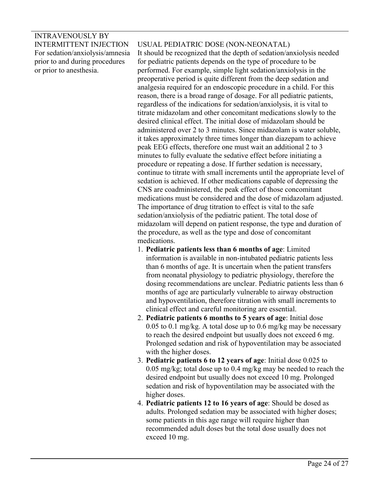INTRAVENOUSLY BY For sedation/anxiolysis/amnesia prior to and during procedures or prior to anesthesia.

#### INTERMITTENT INJECTION USUAL PEDIATRIC DOSE (NON-NEONATAL)

It should be recognized that the depth of sedation/anxiolysis needed for pediatric patients depends on the type of procedure to be performed. For example, simple light sedation/anxiolysis in the preoperative period is quite different from the deep sedation and analgesia required for an endoscopic procedure in a child. For this reason, there is a broad range of dosage. For all pediatric patients, regardless of the indications for sedation/anxiolysis, it is vital to titrate midazolam and other concomitant medications slowly to the desired clinical effect. The initial dose of midazolam should be administered over 2 to 3 minutes. Since midazolam is water soluble, it takes approximately three times longer than diazepam to achieve peak EEG effects, therefore one must wait an additional 2 to 3 minutes to fully evaluate the sedative effect before initiating a procedure or repeating a dose. If further sedation is necessary, continue to titrate with small increments until the appropriate level of sedation is achieved. If other medications capable of depressing the CNS are coadministered, the peak effect of those concomitant medications must be considered and the dose of midazolam adjusted. The importance of drug titration to effect is vital to the safe sedation/anxiolysis of the pediatric patient. The total dose of midazolam will depend on patient response, the type and duration of the procedure, as well as the type and dose of concomitant medications.

- 1. **Pediatric patients less than 6 months of age**: Limited information is available in non-intubated pediatric patients less than 6 months of age. It is uncertain when the patient transfers from neonatal physiology to pediatric physiology, therefore the dosing recommendations are unclear. Pediatric patients less than 6 months of age are particularly vulnerable to airway obstruction and hypoventilation, therefore titration with small increments to clinical effect and careful monitoring are essential.
- 2. **Pediatric patients 6 months to 5 years of age**: Initial dose 0.05 to 0.1 mg/kg. A total dose up to 0.6 mg/kg may be necessary to reach the desired endpoint but usually does not exceed 6 mg. Prolonged sedation and risk of hypoventilation may be associated with the higher doses.
- 3. **Pediatric patients 6 to 12 years of age**: Initial dose 0.025 to 0.05 mg/kg; total dose up to 0.4 mg/kg may be needed to reach the desired endpoint but usually does not exceed 10 mg. Prolonged sedation and risk of hypoventilation may be associated with the higher doses.
- 4. **Pediatric patients 12 to 16 years of age**: Should be dosed as adults. Prolonged sedation may be associated with higher doses; some patients in this age range will require higher than recommended adult doses but the total dose usually does not exceed 10 mg.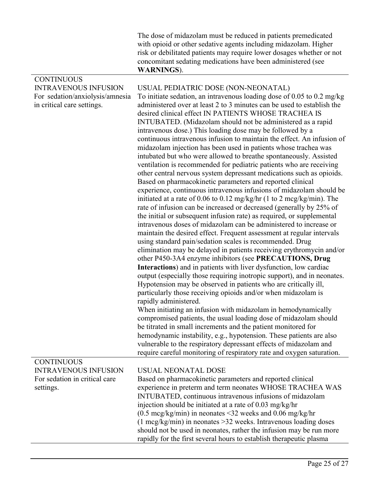|                                                                                                                   | The dose of midazolam must be reduced in patients premedicated<br>with opioid or other sedative agents including midazolam. Higher<br>risk or debilitated patients may require lower dosages whether or not<br>concomitant sedating medications have been administered (see<br><b>WARNINGS).</b>                                                                                                                                                                                                                                                                                                                                                                                                                                                                                                                                                                                                                                                                                                                                                                                                                                                                                                                                                                                                                                                                                                                                                                                                                                                                                                                                                                                                                                                                                                                                                                                                                                                                                                                                                                                                                                                                                               |
|-------------------------------------------------------------------------------------------------------------------|------------------------------------------------------------------------------------------------------------------------------------------------------------------------------------------------------------------------------------------------------------------------------------------------------------------------------------------------------------------------------------------------------------------------------------------------------------------------------------------------------------------------------------------------------------------------------------------------------------------------------------------------------------------------------------------------------------------------------------------------------------------------------------------------------------------------------------------------------------------------------------------------------------------------------------------------------------------------------------------------------------------------------------------------------------------------------------------------------------------------------------------------------------------------------------------------------------------------------------------------------------------------------------------------------------------------------------------------------------------------------------------------------------------------------------------------------------------------------------------------------------------------------------------------------------------------------------------------------------------------------------------------------------------------------------------------------------------------------------------------------------------------------------------------------------------------------------------------------------------------------------------------------------------------------------------------------------------------------------------------------------------------------------------------------------------------------------------------------------------------------------------------------------------------------------------------|
| <b>CONTINUOUS</b><br><b>INTRAVENOUS INFUSION</b><br>For sedation/anxiolysis/amnesia<br>in critical care settings. | USUAL PEDIATRIC DOSE (NON-NEONATAL)<br>To initiate sedation, an intravenous loading dose of 0.05 to 0.2 mg/kg<br>administered over at least 2 to 3 minutes can be used to establish the<br>desired clinical effect IN PATIENTS WHOSE TRACHEA IS<br>INTUBATED. (Midazolam should not be administered as a rapid<br>intravenous dose.) This loading dose may be followed by a<br>continuous intravenous infusion to maintain the effect. An infusion of<br>midazolam injection has been used in patients whose trachea was<br>intubated but who were allowed to breathe spontaneously. Assisted<br>ventilation is recommended for pediatric patients who are receiving<br>other central nervous system depressant medications such as opioids.<br>Based on pharmacokinetic parameters and reported clinical<br>experience, continuous intravenous infusions of midazolam should be<br>initiated at a rate of 0.06 to 0.12 mg/kg/hr (1 to 2 mcg/kg/min). The<br>rate of infusion can be increased or decreased (generally by 25% of<br>the initial or subsequent infusion rate) as required, or supplemental<br>intravenous doses of midazolam can be administered to increase or<br>maintain the desired effect. Frequent assessment at regular intervals<br>using standard pain/sedation scales is recommended. Drug<br>elimination may be delayed in patients receiving erythromycin and/or<br>other P450-3A4 enzyme inhibitors (see PRECAUTIONS, Drug<br>Interactions) and in patients with liver dysfunction, low cardiac<br>output (especially those requiring inotropic support), and in neonates.<br>Hypotension may be observed in patients who are critically ill,<br>particularly those receiving opioids and/or when midazolam is<br>rapidly administered.<br>When initiating an infusion with midazolam in hemodynamically<br>compromised patients, the usual loading dose of midazolam should<br>be titrated in small increments and the patient monitored for<br>hemodynamic instability, e.g., hypotension. These patients are also<br>vulnerable to the respiratory depressant effects of midazolam and<br>require careful monitoring of respiratory rate and oxygen saturation. |
| <b>CONTINUOUS</b><br><b>INTRAVENOUS INFUSION</b><br>For sedation in critical care<br>settings.                    | USUAL NEONATAL DOSE<br>Based on pharmacokinetic parameters and reported clinical<br>experience in preterm and term neonates WHOSE TRACHEA WAS<br>INTUBATED, continuous intravenous infusions of midazolam<br>injection should be initiated at a rate of $0.03 \text{ mg/kg/hr}$<br>$(0.5 \text{~mag/kg/min})$ in neonates <32 weeks and 0.06 mg/kg/hr<br>$(1 \text{ mcg/kg/min})$ in neonates > 32 weeks. Intravenous loading doses<br>should not be used in neonates, rather the infusion may be run more<br>rapidly for the first several hours to establish therapeutic plasma                                                                                                                                                                                                                                                                                                                                                                                                                                                                                                                                                                                                                                                                                                                                                                                                                                                                                                                                                                                                                                                                                                                                                                                                                                                                                                                                                                                                                                                                                                                                                                                                              |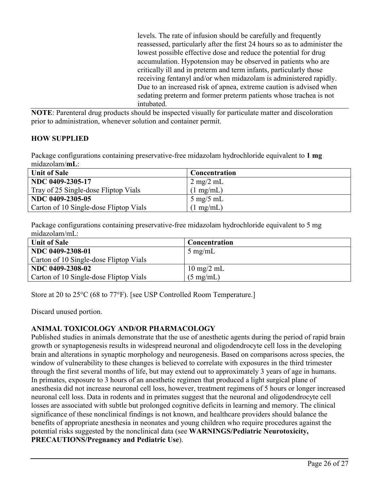levels. The rate of infusion should be carefully and frequently reassessed, particularly after the first 24 hours so as to administer the lowest possible effective dose and reduce the potential for drug accumulation. Hypotension may be observed in patients who are critically ill and in preterm and term infants, particularly those receiving fentanyl and/or when midazolam is administered rapidly. Due to an increased risk of apnea, extreme caution is advised when sedating preterm and former preterm patients whose trachea is not intubated.

**NOTE**: Parenteral drug products should be inspected visually for particulate matter and discoloration prior to administration, whenever solution and container permit.

## **HOW SUPPLIED**

Package configurations containing preservative-free midazolam hydrochloride equivalent to **1 mg** midazolam/**mL**:

| <b>Unit of Sale</b>                    | <b>Concentration</b>        |
|----------------------------------------|-----------------------------|
| NDC 0409-2305-17                       | $2 \text{ mg}/2 \text{ mL}$ |
| Tray of 25 Single-dose Fliptop Vials   | $1$ mg/mL)                  |
| NDC 0409-2305-05                       | $5 \text{ mg}/5 \text{ mL}$ |
| Carton of 10 Single-dose Fliptop Vials | $1$ mg/mL)                  |

Package configurations containing preservative-free midazolam hydrochloride equivalent to 5 mg midazolam/mL:

| <b>Unit of Sale</b>                    | Concentration                |
|----------------------------------------|------------------------------|
| NDC 0409-2308-01                       | $5 \text{ mg/mL}$            |
| Carton of 10 Single-dose Fliptop Vials |                              |
| NDC 0409-2308-02                       | $10 \text{ mg}/2 \text{ mL}$ |
| Carton of 10 Single-dose Fliptop Vials | $(5 \text{ mg/mL})$          |

Store at 20 to 25°C (68 to 77°F). [see USP Controlled Room Temperature.]

Discard unused portion.

#### **ANIMAL TOXICOLOGY AND/OR PHARMACOLOGY**

Published studies in animals demonstrate that the use of anesthetic agents during the period of rapid brain growth or synaptogenesis results in widespread neuronal and oligodendrocyte cell loss in the developing brain and alterations in synaptic morphology and neurogenesis. Based on comparisons across species, the window of vulnerability to these changes is believed to correlate with exposures in the third trimester through the first several months of life, but may extend out to approximately 3 years of age in humans. In primates, exposure to 3 hours of an anesthetic regimen that produced a light surgical plane of anesthesia did not increase neuronal cell loss, however, treatment regimens of 5 hours or longer increased neuronal cell loss. Data in rodents and in primates suggest that the neuronal and oligodendrocyte cell losses are associated with subtle but prolonged cognitive deficits in learning and memory. The clinical significance of these nonclinical findings is not known, and healthcare providers should balance the benefits of appropriate anesthesia in neonates and young children who require procedures against the potential risks suggested by the nonclinical data (see **WARNINGS/Pediatric Neurotoxicity, PRECAUTIONS/Pregnancy and Pediatric Use**).